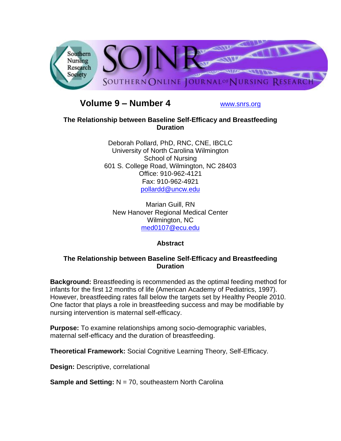

# **Volume 9 – Number 4** [www.snrs.org](http://www.snrs.org/)

## **The Relationship between Baseline Self-Efficacy and Breastfeeding Duration**

Deborah Pollard, PhD, RNC, CNE, IBCLC University of North Carolina Wilmington School of Nursing 601 S. College Road, Wilmington, NC 28403 Office: 910-962-4121 Fax: 910-962-4921 [pollardd@uncw.edu](mailto:pollardd@uncw.edu)

Marian Guill, RN New Hanover Regional Medical Center Wilmington, NC [med0107@ecu.edu](mailto:med0107@ecu.edu)

# **Abstract**

## **The Relationship between Baseline Self-Efficacy and Breastfeeding Duration**

**Background:** Breastfeeding is recommended as the optimal feeding method for infants for the first 12 months of life (American Academy of Pediatrics, 1997). However, breastfeeding rates fall below the targets set by Healthy People 2010. One factor that plays a role in breastfeeding success and may be modifiable by nursing intervention is maternal self-efficacy.

**Purpose:** To examine relationships among socio-demographic variables, maternal self-efficacy and the duration of breastfeeding.

**Theoretical Framework:** Social Cognitive Learning Theory, Self-Efficacy.

**Design:** Descriptive, correlational

**Sample and Setting:** N = 70, southeastern North Carolina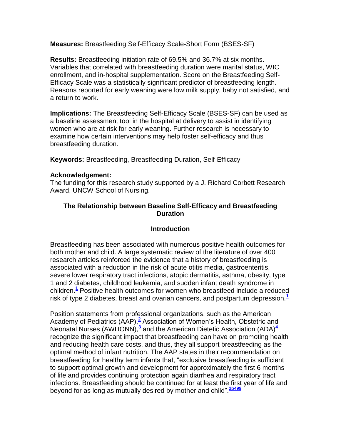**Measures:** Breastfeeding Self-Efficacy Scale-Short Form (BSES-SF)

**Results:** Breastfeeding initiation rate of 69.5% and 36.7% at six months. Variables that correlated with breastfeeding duration were marital status, WIC enrollment, and in-hospital supplementation. Score on the Breastfeeding Self-Efficacy Scale was a statistically significant predictor of breastfeeding length. Reasons reported for early weaning were low milk supply, baby not satisfied, and a return to work.

**Implications:** The Breastfeeding Self-Efficacy Scale (BSES-SF) can be used as a baseline assessment tool in the hospital at delivery to assist in identifying women who are at risk for early weaning. Further research is necessary to examine how certain interventions may help foster self-efficacy and thus breastfeeding duration.

**Keywords:** Breastfeeding, Breastfeeding Duration, Self-Efficacy

## **Acknowledgement:**

The funding for this research study supported by a J. Richard Corbett Research Award, UNCW School of Nursing.

## **The Relationship between Baseline Self-Efficacy and Breastfeeding Duration**

## **Introduction**

Breastfeeding has been associated with numerous positive health outcomes for both mother and child. A large systematic review of the literature of over 400 research articles reinforced the evidence that a history of breastfeeding is associated with a reduction in the risk of acute otitis media, gastroenteritis, severe lower respiratory tract infections, atopic dermatitis, asthma, obesity, type 1 and 2 diabetes, childhood leukemia, and sudden infant death syndrome in children.**[1](http://snrs.org/publications/SOJNR_articles2/n)** Positive health outcomes for women who breastfeed include a reduced risk of type 2 diabetes, breast and ovarian cancers, and postpartum depression.**[1](http://snrs.org/publications/SOJNR_articles2/n)**

Position statements from professional organizations, such as the American Academy of Pediatrics (AAP),<sup>[2](http://snrs.org/publications/SOJNR_articles2/n)</sup> Association of Women's Health, Obstetric and Neonatal Nurses (AWHONN),**[3](http://snrs.org/publications/SOJNR_articles2/n)** and the American Dietetic Association (ADA)**[4](http://snrs.org/publications/SOJNR_articles2/n)** recognize the significant impact that breastfeeding can have on promoting health and reducing health care costs, and thus, they all support breastfeeding as the optimal method of infant nutrition. The AAP states in their recommendation on breastfeeding for healthy term infants that, "exclusive breastfeeding is sufficient to support optimal growth and development for approximately the first 6 months of life and provides continuing protection again diarrhea and respiratory tract infections. Breastfeeding should be continued for at least the first year of life and beyond for as long as mutually desired by mother and child".**[2p499](http://snrs.org/publications/SOJNR_articles2/n)**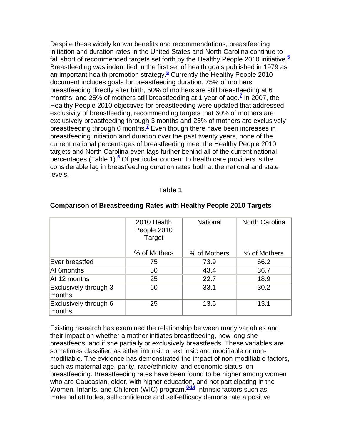Despite these widely known benefits and recommendations, breastfeeding initiation and duration rates in the United States and North Carolina continue to fall short of recommended targets set forth by the Healthy People 2010 initiative.**[5](http://snrs.org/publications/SOJNR_articles2/n)** Breastfeeding was indentified in the first set of health goals published in 1979 as an important health promotion strategy.**[6](http://snrs.org/publications/SOJNR_articles2/n)** Currently the Healthy People 2010 document includes goals for breastfeeding duration, 75% of mothers breastfeeding directly after birth, 50% of mothers are still breastfeeding at 6 months, and 25% of mothers still breastfeeding at 1 year of age.**[7](http://snrs.org/publications/SOJNR_articles2/n)** In 2007, the Healthy People 2010 objectives for breastfeeding were updated that addressed exclusivity of breastfeeding, recommending targets that 60% of mothers are exclusively breastfeeding through 3 months and 25% of mothers are exclusively breastfeeding through 6 months.**[7](http://snrs.org/publications/SOJNR_articles2/n)** Even though there have been increases in breastfeeding initiation and duration over the past twenty years, none of the current national percentages of breastfeeding meet the Healthy People 2010 targets and North Carolina even lags further behind all of the current national percentages (Table 1)[.](http://snrs.org/publications/SOJNR_articles2/n)**<sup>5</sup>** Of particular concern to health care providers is the considerable lag in breastfeeding duration rates both at the national and state levels.

#### **Table 1**

|                                 | 2010 Health<br>People 2010<br>Target | <b>National</b> | North Carolina |
|---------------------------------|--------------------------------------|-----------------|----------------|
|                                 | % of Mothers                         | % of Mothers    | % of Mothers   |
| Ever breastfed                  | 75                                   | 73.9            | 66.2           |
| At 6months                      | 50                                   | 43.4            | 36.7           |
| At 12 months                    | 25                                   | 22.7            | 18.9           |
| Exclusively through 3<br>months | 60                                   | 33.1            | 30.2           |
| Exclusively through 6<br>months | 25                                   | 13.6            | 13.1           |

#### **Comparison of Breastfeeding Rates with Healthy People 2010 Targets**

Existing research has examined the relationship between many variables and their impact on whether a mother initiates breastfeeding, how long she breastfeeds, and if she partially or exclusively breastfeeds. These variables are sometimes classified as either intrinsic or extrinsic and modifiable or nonmodifiable. The evidence has demonstrated the impact of non-modifiable factors, such as maternal age, parity, race/ethnicity, and economic status, on breastfeeding. Breastfeeding rates have been found to be higher among women who are Caucasian, older, with higher education, and not participating in the Women, Infants, and Children (WIC) program.<sup>[8-14](http://snrs.org/publications/SOJNR_articles2/n)</sup> Intrinsic factors such as maternal attitudes, self confidence and self-efficacy demonstrate a positive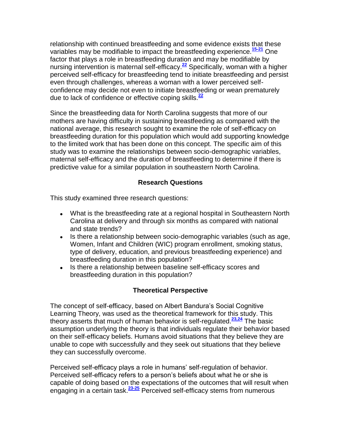relationship with continued breastfeeding and some evidence exists that these variables may be modifiable to impact the breastfeeding experience.**[15-21](http://snrs.org/publications/SOJNR_articles2/n)** One factor that plays a role in breastfeeding duration and may be modifiable by nursing intervention is maternal self-efficacy.**[22](http://snrs.org/publications/SOJNR_articles2/n)** Specifically, woman with a higher perceived self-efficacy for breastfeeding tend to initiate breastfeeding and persist even through challenges, whereas a woman with a lower perceived selfconfidence may decide not even to initiate breastfeeding or wean prematurely due to lack of confidence or effective coping skills.**[22](http://snrs.org/publications/SOJNR_articles2/n)**

Since the breastfeeding data for North Carolina suggests that more of our mothers are having difficulty in sustaining breastfeeding as compared with the national average, this research sought to examine the role of self-efficacy on breastfeeding duration for this population which would add supporting knowledge to the limited work that has been done on this concept. The specific aim of this study was to examine the relationships between socio-demographic variables, maternal self-efficacy and the duration of breastfeeding to determine if there is predictive value for a similar population in southeastern North Carolina.

## **Research Questions**

This study examined three research questions:

- What is the breastfeeding rate at a regional hospital in Southeastern North Carolina at delivery and through six months as compared with national and state trends?
- Is there a relationship between socio-demographic variables (such as age, Women, Infant and Children (WIC) program enrollment, smoking status, type of delivery, education, and previous breastfeeding experience) and breastfeeding duration in this population?
- Is there a relationship between baseline self-efficacy scores and breastfeeding duration in this population?

# **Theoretical Perspective**

The concept of self-efficacy, based on Albert Bandura"s Social Cognitive Learning Theory, was used as the theoretical framework for this study. This theory asserts that much of human behavior is self-regulated.**[23,24](http://snrs.org/publications/SOJNR_articles2/n)** The basic assumption underlying the theory is that individuals regulate their behavior based on their self-efficacy beliefs. Humans avoid situations that they believe they are unable to cope with successfully and they seek out situations that they believe they can successfully overcome.

Perceived self-efficacy plays a role in humans' self-regulation of behavior. Perceived self-efficacy refers to a person"s beliefs about what he or she is capable of doing based on the expectations of the outcomes that will result when engaging in a certain task.**[23-25](http://snrs.org/publications/SOJNR_articles2/n)** Perceived self-efficacy stems from numerous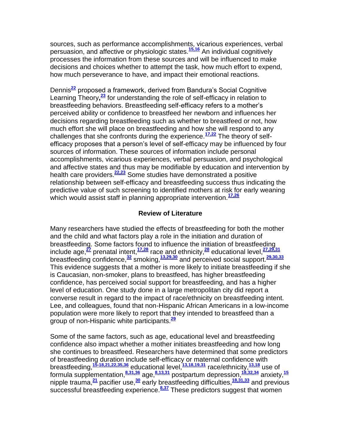sources, such as performance accomplishments, vicarious experiences, verbal persuasion, and affective or physiologic states.**[15,16](http://snrs.org/publications/SOJNR_articles2/n)** An individual cognitively processes the information from these sources and will be influenced to make decisions and choices whether to attempt the task, how much effort to expend, how much perseverance to have, and impact their emotional reactions.

Dennis**[22](http://snrs.org/publications/SOJNR_articles2/n)** proposed a framework, derived from Bandura"s Social Cognitive Learning Theory**, [23](http://snrs.org/publications/SOJNR_articles2/n)** for understanding the role of self-efficacy in relation to breastfeeding behaviors. Breastfeeding self-efficacy refers to a mother"s perceived ability or confidence to breastfeed her newborn and influences her decisions regarding breastfeeding such as whether to breastfeed or not, how much effort she will place on breastfeeding and how she will respond to any challenges that she confronts during the experience.**[17,22](http://snrs.org/publications/SOJNR_articles2/n)** The theory of selfefficacy proposes that a person"s level of self-efficacy may be influenced by four sources of information. These sources of information include personal accomplishments, vicarious experiences, verbal persuasion, and psychological and affective states and thus may be modifiable by education and intervention by health care providers.**[22,23](http://snrs.org/publications/SOJNR_articles2/n)** Some studies have demonstrated a positive relationship between self-efficacy and breastfeeding success thus indicating the predictive value of such screening to identified mothers at risk for early weaning which would assist staff in planning appropriate intervention.<sup>[17,26](http://snrs.org/publications/SOJNR_articles2/n)</sup>

#### **Review of Literature**

Many researchers have studied the effects of breastfeeding for both the mother and the child and what factors play a role in the initiation and duration of breastfeeding. Some factors found to influence the initiation of breastfeeding include age,**[27](http://snrs.org/publications/SOJNR_articles2/n)** prenatal intent,**[17,28](http://snrs.org/publications/SOJNR_articles2/n)** race and ethnicity,**[28](http://snrs.org/publications/SOJNR_articles2/n)** educational level,**[27,29,31](http://snrs.org/publications/SOJNR_articles2/n)** breastfeeding confidence,**[32](http://snrs.org/publications/SOJNR_articles2/n)** smoking,**[13,29,30](http://snrs.org/publications/SOJNR_articles2/n)** and perceived social support.**[29,30,33](http://snrs.org/publications/SOJNR_articles2/n)** This evidence suggests that a mother is more likely to initiate breastfeeding if she is Caucasian, non-smoker, plans to breastfeed, has higher breastfeeding confidence, has perceived social support for breastfeeding, and has a higher level of education. One study done in a large metropolitan city did report a converse result in regard to the impact of race/ethnicity on breastfeeding intent. Lee, and colleagues, found that non-Hispanic African Americans in a low-income population were more likely to report that they intended to breastfeed than a group of non-Hispanic white participants.**[29](http://snrs.org/publications/SOJNR_articles2/n)**

Some of the same factors, such as age, educational level and breastfeeding confidence also impact whether a mother initiates breastfeeding and how long she continues to breastfeed. Researchers have determined that some predictors of breastfeeding duration include self-efficacy or maternal confidence with breastfeeding,**[15-18,21,22,35,36](http://snrs.org/publications/SOJNR_articles2/n)** educational level,**[13,18,19,31](http://snrs.org/publications/SOJNR_articles2/n)** race/ethnicity,**[13,18](http://snrs.org/publications/SOJNR_articles2/n)** use of formula supplementation,**[8,31,36](http://snrs.org/publications/SOJNR_articles2/n)** age,**[8,13,31](http://snrs.org/publications/SOJNR_articles2/n)** postpartum depression,**[18,32,34](http://snrs.org/publications/SOJNR_articles2/n)** anxiety,**[15](http://snrs.org/publications/SOJNR_articles2/n)** nipple trauma,**[21](http://snrs.org/publications/SOJNR_articles2/n)** pacifier use,**[30](http://snrs.org/publications/SOJNR_articles2/n)** early breastfeeding difficulties,**[18,31,33](http://snrs.org/publications/SOJNR_articles2/n)** and previous successful breastfeeding experience.**[8,37](http://snrs.org/publications/SOJNR_articles2/n)** These predictors suggest that women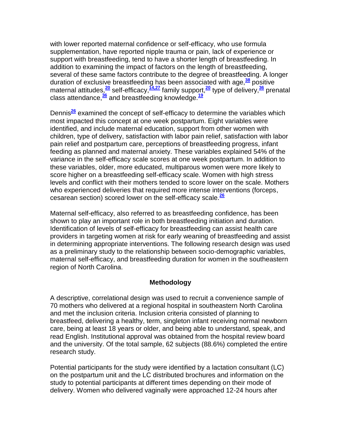with lower reported maternal confidence or self-efficacy, who use formula supplementation, have reported nipple trauma or pain, lack of experience or support with breastfeeding, tend to have a shorter length of breastfeeding. In addition to examining the impact of factors on the length of breastfeeding, several of these same factors contribute to the degree of breastfeeding. A longer duration of exclusive breastfeeding has been associated with age,**[38](http://snrs.org/publications/SOJNR_articles2/n)** positive maternal attitudes,**[20](http://snrs.org/publications/SOJNR_articles2/n)** self-efficacy,**[14,27](http://snrs.org/publications/SOJNR_articles2/n)** family support,**[20](http://snrs.org/publications/SOJNR_articles2/n)** type of delivery,**[36](http://snrs.org/publications/SOJNR_articles2/n)** prenatal class attendance,**[36](http://snrs.org/publications/SOJNR_articles2/n)** and breastfeeding knowledge.**[19](http://snrs.org/publications/SOJNR_articles2/n)**

Dennis**[26](http://snrs.org/publications/SOJNR_articles2/n)** examined the concept of self-efficacy to determine the variables which most impacted this concept at one week postpartum. Eight variables were identified, and include maternal education, support from other women with children, type of delivery, satisfaction with labor pain relief, satisfaction with labor pain relief and postpartum care, perceptions of breastfeeding progress, infant feeding as planned and maternal anxiety. These variables explained 54% of the variance in the self-efficacy scale scores at one week postpartum. In addition to these variables, older, more educated, multiparous women were more likely to score higher on a breastfeeding self-efficacy scale. Women with high stress levels and conflict with their mothers tended to score lower on the scale. Mothers who experienced deliveries that required more intense interventions (forceps, cesarean section) scored lower on the self-efficacy scale.**[26](http://snrs.org/publications/SOJNR_articles2/n)**

Maternal self-efficacy, also referred to as breastfeeding confidence, has been shown to play an important role in both breastfeeding initiation and duration. Identification of levels of self-efficacy for breastfeeding can assist health care providers in targeting women at risk for early weaning of breastfeeding and assist in determining appropriate interventions. The following research design was used as a preliminary study to the relationship between socio-demographic variables, maternal self-efficacy, and breastfeeding duration for women in the southeastern region of North Carolina.

## **Methodology**

A descriptive, correlational design was used to recruit a convenience sample of 70 mothers who delivered at a regional hospital in southeastern North Carolina and met the inclusion criteria. Inclusion criteria consisted of planning to breastfeed, delivering a healthy, term, singleton infant receiving normal newborn care, being at least 18 years or older, and being able to understand, speak, and read English. Institutional approval was obtained from the hospital review board and the university. Of the total sample, 62 subjects (88.6%) completed the entire research study.

Potential participants for the study were identified by a lactation consultant (LC) on the postpartum unit and the LC distributed brochures and information on the study to potential participants at different times depending on their mode of delivery. Women who delivered vaginally were approached 12-24 hours after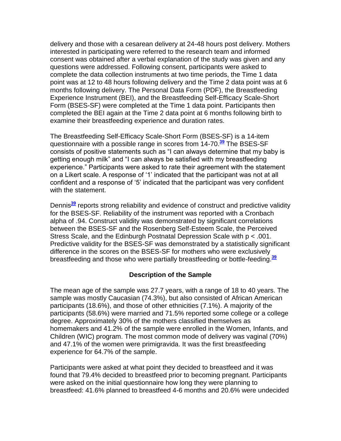delivery and those with a cesarean delivery at 24-48 hours post delivery. Mothers interested in participating were referred to the research team and informed consent was obtained after a verbal explanation of the study was given and any questions were addressed. Following consent, participants were asked to complete the data collection instruments at two time periods, the Time 1 data point was at 12 to 48 hours following delivery and the Time 2 data point was at 6 months following delivery. The Personal Data Form (PDF), the Breastfeeding Experience Instrument (BEI), and the Breastfeeding Self-Efficacy Scale-Short Form (BSES-SF) were completed at the Time 1 data point. Participants then completed the BEI again at the Time 2 data point at 6 months following birth to examine their breastfeeding experience and duration rates.

The Breastfeeding Self-Efficacy Scale-Short Form (BSES-SF) is a 14-item questionnaire with a possible range in scores from 14-70.**[39](http://snrs.org/publications/SOJNR_articles2/n)** The BSES-SF consists of positive statements such as "I can always determine that my baby is getting enough milk" and "I can always be satisfied with my breastfeeding experience." Participants were asked to rate their agreement with the statement on a Likert scale. A response of "1" indicated that the participant was not at all confident and a response of "5" indicated that the participant was very confident with the statement.

Dennis**[39](http://snrs.org/publications/SOJNR_articles2/n)** reports strong reliability and evidence of construct and predictive validity for the BSES-SF. Reliability of the instrument was reported with a Cronbach alpha of .94. Construct validity was demonstrated by significant correlations between the BSES-SF and the Rosenberg Self-Esteem Scale, the Perceived Stress Scale, and the Edinburgh Postnatal Depression Scale with p < .001. Predictive validity for the BSES-SF was demonstrated by a statistically significant difference in the scores on the BSES-SF for mothers who were exclusively breastfeeding and those who were partially breastfeeding or bottle-feeding.**[39](http://snrs.org/publications/SOJNR_articles2/n)**

## **Description of the Sample**

The mean age of the sample was 27.7 years, with a range of 18 to 40 years. The sample was mostly Caucasian (74.3%), but also consisted of African American participants (18.6%), and those of other ethnicities (7.1%). A majority of the participants (58.6%) were married and 71.5% reported some college or a college degree. Approximately 30% of the mothers classified themselves as homemakers and 41.2% of the sample were enrolled in the Women, Infants, and Children (WIC) program. The most common mode of delivery was vaginal (70%) and 47.1% of the women were primigravida. It was the first breastfeeding experience for 64.7% of the sample.

Participants were asked at what point they decided to breastfeed and it was found that 79.4% decided to breastfeed prior to becoming pregnant. Participants were asked on the initial questionnaire how long they were planning to breastfeed: 41.6% planned to breastfeed 4-6 months and 20.6% were undecided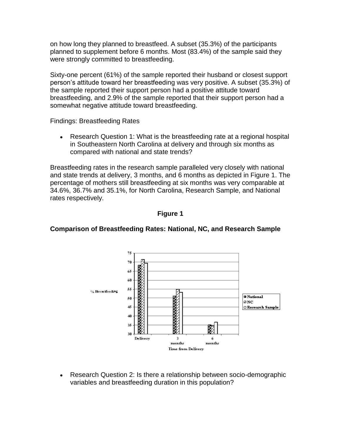on how long they planned to breastfeed. A subset (35.3%) of the participants planned to supplement before 6 months. Most (83.4%) of the sample said they were strongly committed to breastfeeding.

Sixty-one percent (61%) of the sample reported their husband or closest support person"s attitude toward her breastfeeding was very positive. A subset (35.3%) of the sample reported their support person had a positive attitude toward breastfeeding, and 2.9% of the sample reported that their support person had a somewhat negative attitude toward breastfeeding.

Findings: Breastfeeding Rates

Research Question 1: What is the breastfeeding rate at a regional hospital in Southeastern North Carolina at delivery and through six months as compared with national and state trends?

Breastfeeding rates in the research sample paralleled very closely with national and state trends at delivery, 3 months, and 6 months as depicted in Figure 1. The percentage of mothers still breastfeeding at six months was very comparable at 34.6%, 36.7% and 35.1%, for North Carolina, Research Sample, and National rates respectively.



# **Comparison of Breastfeeding Rates: National, NC, and Research Sample**

**Figure 1**

Research Question 2: Is there a relationship between socio-demographic  $\bullet$ variables and breastfeeding duration in this population?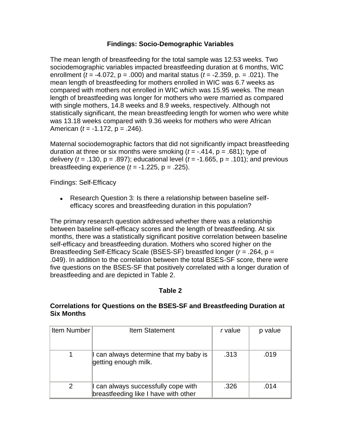## **Findings: Socio-Demographic Variables**

The mean length of breastfeeding for the total sample was 12.53 weeks. Two sociodemographic variables impacted breastfeeding duration at 6 months, WIC enrollment (*t* = -4.072, p = .000) and marital status (*t* = -2.359, p. = .021). The mean length of breastfeeding for mothers enrolled in WIC was 6.7 weeks as compared with mothers not enrolled in WIC which was 15.95 weeks. The mean length of breastfeeding was longer for mothers who were married as compared with single mothers, 14.8 weeks and 8.9 weeks, respectively. Although not statistically significant, the mean breastfeeding length for women who were white was 13.18 weeks compared with 9.36 weeks for mothers who were African American (*t* = -1.172, p = .246).

Maternal sociodemographic factors that did not significantly impact breastfeeding duration at three or six months were smoking  $(t = -.414, p = .681)$ ; type of delivery ( $t = .130$ ,  $p = .897$ ); educational level ( $t = -1.665$ ,  $p = .101$ ); and previous breastfeeding experience  $(t = -1.225, p = .225)$ .

Findings: Self-Efficacy

Research Question 3: Is there a relationship between baseline selfefficacy scores and breastfeeding duration in this population?

The primary research question addressed whether there was a relationship between baseline self-efficacy scores and the length of breastfeeding. At six months, there was a statistically significant positive correlation between baseline self-efficacy and breastfeeding duration. Mothers who scored higher on the Breastfeeding Self-Efficacy Scale (BSES-SF) breastfed longer (*r* = .264, p = .049). In addition to the correlation between the total BSES-SF score, there were five questions on the BSES-SF that positively correlated with a longer duration of breastfeeding and are depicted in Table 2.

## **Table 2**

## **Correlations for Questions on the BSES-SF and Breastfeeding Duration at Six Months**

| Item Number | <b>Item Statement</b>                                                       | r value | p value |
|-------------|-----------------------------------------------------------------------------|---------|---------|
|             | I can always determine that my baby is<br>getting enough milk.              | .313    | .019    |
| 2           | I can always successfully cope with<br>breastfeeding like I have with other | .326    | .014    |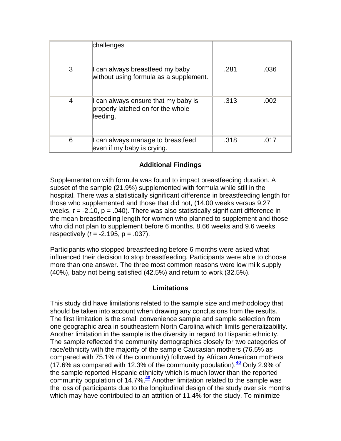|   | challenges                                                                           |      |      |
|---|--------------------------------------------------------------------------------------|------|------|
| 3 | I can always breastfeed my baby<br>without using formula as a supplement.            | .281 | .036 |
| 4 | I can always ensure that my baby is<br>properly latched on for the whole<br>feeding. | .313 | .002 |
| 6 | I can always manage to breastfeed<br>even if my baby is crying.                      | .318 | .017 |

# **Additional Findings**

Supplementation with formula was found to impact breastfeeding duration. A subset of the sample (21.9%) supplemented with formula while still in the hospital. There was a statistically significant difference in breastfeeding length for those who supplemented and those that did not, (14.00 weeks versus 9.27 weeks, *t* = -2.10, p = .040). There was also statistically significant difference in the mean breastfeeding length for women who planned to supplement and those who did not plan to supplement before 6 months, 8.66 weeks and 9.6 weeks respectively (*t* = -2.195, p = .037).

Participants who stopped breastfeeding before 6 months were asked what influenced their decision to stop breastfeeding. Participants were able to choose more than one answer. The three most common reasons were low milk supply (40%), baby not being satisfied (42.5%) and return to work (32.5%).

# **Limitations**

This study did have limitations related to the sample size and methodology that should be taken into account when drawing any conclusions from the results. The first limitation is the small convenience sample and sample selection from one geographic area in southeastern North Carolina which limits generalizability. Another limitation in the sample is the diversity in regard to Hispanic ethnicity. The sample reflected the community demographics closely for two categories of race/ethnicity with the majority of the sample Caucasian mothers (76.5% as compared with 75.1% of the community) followed by African American mothers (17.6% as compared with 12.3% of the community population).**[40](http://snrs.org/publications/SOJNR_articles2/n)** Only 2.9% of the sample reported Hispanic ethnicity which is much lower than the reported community population of 14.7%.**[40](http://snrs.org/publications/SOJNR_articles2/n)** Another limitation related to the sample was the loss of participants due to the longitudinal design of the study over six months which may have contributed to an attrition of 11.4% for the study. To minimize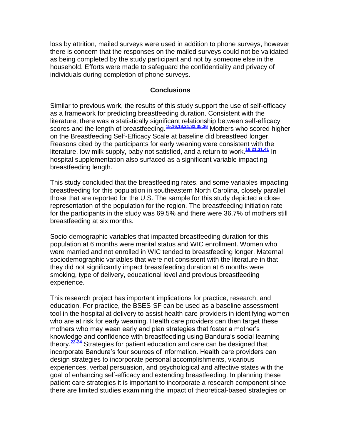loss by attrition, mailed surveys were used in addition to phone surveys, however there is concern that the responses on the mailed surveys could not be validated as being completed by the study participant and not by someone else in the household. Efforts were made to safeguard the confidentiality and privacy of individuals during completion of phone surveys.

#### **Conclusions**

Similar to previous work, the results of this study support the use of self-efficacy as a framework for predicting breastfeeding duration. Consistent with the literature, there was a statistically significant relationship between self-efficacy scores and the length of breastfeeding.**[15,16,18,21,32,35,36](http://snrs.org/publications/SOJNR_articles2/n)** Mothers who scored higher on the Breastfeeding Self-Efficacy Scale at baseline did breastfeed longer. Reasons cited by the participants for early weaning were consistent with the literature, low milk supply, baby not satisfied, and a return to work.**[18,21,31,41](http://snrs.org/publications/SOJNR_articles2/n)** Inhospital supplementation also surfaced as a significant variable impacting breastfeeding length.

This study concluded that the breastfeeding rates, and some variables impacting breastfeeding for this population in southeastern North Carolina, closely parallel those that are reported for the U.S. The sample for this study depicted a close representation of the population for the region. The breastfeeding initiation rate for the participants in the study was 69.5% and there were 36.7% of mothers still breastfeeding at six months.

Socio-demographic variables that impacted breastfeeding duration for this population at 6 months were marital status and WIC enrollment. Women who were married and not enrolled in WIC tended to breastfeeding longer. Maternal sociodemographic variables that were not consistent with the literature in that they did not significantly impact breastfeeding duration at 6 months were smoking, type of delivery, educational level and previous breastfeeding experience.

This research project has important implications for practice, research, and education. For practice, the BSES-SF can be used as a baseline assessment tool in the hospital at delivery to assist health care providers in identifying women who are at risk for early weaning. Health care providers can then target these mothers who may wean early and plan strategies that foster a mother"s knowledge and confidence with breastfeeding using Bandura"s social learning theory.**[22-24](http://snrs.org/publications/SOJNR_articles2/n)** Strategies for patient education and care can be designed that incorporate Bandura"s four sources of information. Health care providers can design strategies to incorporate personal accomplishments, vicarious experiences, verbal persuasion, and psychological and affective states with the goal of enhancing self-efficacy and extending breastfeeding. In planning these patient care strategies it is important to incorporate a research component since there are limited studies examining the impact of theoretical-based strategies on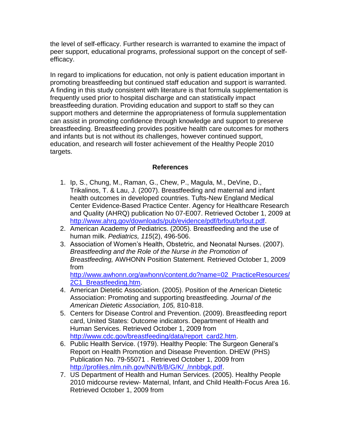the level of self-efficacy. Further research is warranted to examine the impact of peer support, educational programs, professional support on the concept of selfefficacy.

In regard to implications for education, not only is patient education important in promoting breastfeeding but continued staff education and support is warranted. A finding in this study consistent with literature is that formula supplementation is frequently used prior to hospital discharge and can statistically impact breastfeeding duration. Providing education and support to staff so they can support mothers and determine the appropriateness of formula supplementation can assist in promoting confidence through knowledge and support to preserve breastfeeding. Breastfeeding provides positive health care outcomes for mothers and infants but is not without its challenges, however continued support, education, and research will foster achievement of the Healthy People 2010 targets.

## **References**

- 1. Ip, S., Chung, M., Raman, G., Chew, P., Magula, M., DeVine, D., Trikalinos, T. & Lau, J. (2007). Breastfeeding and maternal and infant health outcomes in developed countries. Tufts-New England Medical Center Evidence-Based Practice Center. Agency for Healthcare Research and Quality (AHRQ) publication No 07-E007. Retrieved October 1, 2009 at [http://www.ahrq.gov/downloads/pub/evidence/pdf/brfout/brfout.pdf.](http://www.ahrq.gov/downloads/pub/evidence/pdf/brfout/brfout.pdf)
- 2. American Academy of Pediatrics. (2005). Breastfeeding and the use of human milk. *Pediatrics, 115*(2), 496-506.
- 3. Association of Women"s Health, Obstetric, and Neonatal Nurses. (2007). *Breastfeeding and the Role of the Nurse in the Promotion of Breastfeeding,* AWHONN Position Statement*.* Retrieved October 1, 2009 from

[http://www.awhonn.org/awhonn/content.do?name=02\\_PracticeResources/](http://www.awhonn.org/awhonn/content.do?name=02_PracticeResources/2C1_Breastfeeding.htm) [2C1\\_Breastfeeding.htm.](http://www.awhonn.org/awhonn/content.do?name=02_PracticeResources/2C1_Breastfeeding.htm)

- 4. American Dietetic Association. (2005). Position of the American Dietetic Association: Promoting and supporting breastfeeding. *Journal of the American Dietetic Association, 105,* 810-818.
- 5. Centers for Disease Control and Prevention. (2009). Breastfeeding report card, United States: Outcome indicators. Department of Health and Human Services. Retrieved October 1, 2009 from [http://www.cdc.gov/breastfeeding/data/report\\_card2.htm.](http://www.cdc.gov/breastfeeding/data/report_card2.htm)
- 6. Public Health Service. (1979). Healthy People: The Surgeon General"s Report on Health Promotion and Disease Prevention. DHEW (PHS) Publication No. 79-55071 . Retrieved October 1, 2009 from [http://profiles.nlm.nih.gov/NN/B/B/G/K/\\_/nnbbgk.pdf.](http://profiles.nlm.nih.gov/NN/B/B/G/K/_/nnbbgk.pdf)
- 7. US Department of Health and Human Services. (2005). Healthy People 2010 midcourse review- Maternal, Infant, and Child Health-Focus Area 16. Retrieved October 1, 2009 from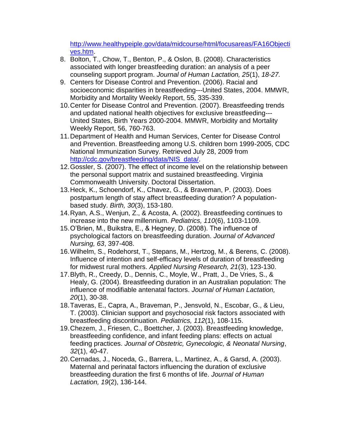[http://www.healthypeiple.gov/data/midcourse/html/focusareas/FA16Objecti](http://www.healthypeiple.gov/data/midcourse/html/focusareas/FA16Objectives.htm) [ves.htm.](http://www.healthypeiple.gov/data/midcourse/html/focusareas/FA16Objectives.htm)

- 8. Bolton, T., Chow, T., Benton, P., & Oslon, B. (2008). Characteristics associated with longer breastfeeding duration: an analysis of a peer counseling support program. *Journal of Human Lactation, 25*(1), *18-27.*
- 9. Centers for Disease Control and Prevention. (2006). Racial and socioeconomic disparities in breastfeeding---United States, 2004. MMWR, Morbidity and Mortality Weekly Report, 55, 335-339.
- 10.Center for Disease Control and Prevention. (2007). Breastfeeding trends and updated national health objectives for exclusive breastfeeding--- United States, Birth Years 2000-2004. MMWR, Morbidity and Mortality Weekly Report, 56, 760-763.
- 11.Department of Health and Human Services, Center for Disease Control and Prevention. Breastfeeding among U.S. children born 1999-2005, CDC National Immunization Survey. Retrieved July 28, 2009 from [http://cdc.gov/breastfeeding/data/NIS\\_data/.](http://cdc.gov/breastfeeding/data/NIS_data/)
- 12.Gossler, S. (2007). The effect of income level on the relationship between the personal support matrix and sustained breastfeeding. Virginia Commonwealth University. Doctoral Dissertation.
- 13.Heck, K., Schoendorf, K., Chavez, G., & Braveman, P. (2003). Does postpartum length of stay affect breastfeeding duration? A populationbased study. *Birth, 30*(3), 153-180.
- 14.Ryan, A.S., Wenjun, Z., & Acosta, A. (2002). Breastfeeding continues to increase into the new millennium. *Pediatrics, 110*(6), 1103-1109.
- 15.O"Brien, M., Buikstra, E., & Hegney, D. (2008). The influence of psychological factors on breastfeeding duration. *Journal of Advanced Nursing, 63*, 397-408.
- 16.Wilhelm, S., Rodehorst, T., Stepans, M., Hertzog, M., & Berens, C. (2008). Influence of intention and self-efficacy levels of duration of breastfeeding for midwest rural mothers. *Applied Nursing Research, 21*(3), 123-130.
- 17.Blyth, R., Creedy, D., Dennis, C., Moyle, W., Pratt, J., De Vries, S., & Healy, G. (2004). Breastfeeding duration in an Australian population: The influence of modifiable antenatal factors. *Journal of Human Lactation, 20*(1), 30-38.
- 18.Taveras, E., Capra, A., Braveman, P., Jensvold, N., Escobar, G., & Lieu, T. (2003). Clinician support and psychosocial risk factors associated with breastfeeding discontinuation. *Pediatrics, 112*(1), 108-115.
- 19.Chezem, J., Friesen, C., Boettcher, J. (2003). Breastfeeding knowledge, breastfeeding confidence, and infant feeding plans: effects on actual feeding practices. *Journal of Obstetric, Gynecologic, & Neonatal Nursing*, *32*(1), 40-47.
- 20.Cernadas, J., Noceda, G., Barrera, L., Martinez, A., & Garsd, A. (2003). Maternal and perinatal factors influencing the duration of exclusive breastfeeding duration the first 6 months of life. *Journal of Human Lactation, 19*(2), 136-144.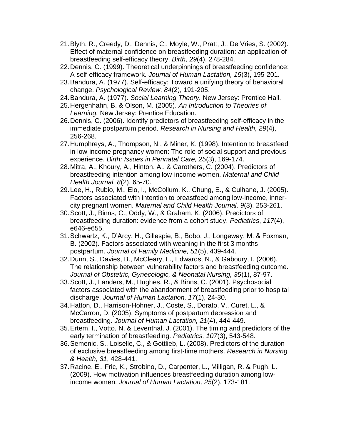- 21.Blyth, R., Creedy, D., Dennis, C., Moyle, W., Pratt, J., De Vries, S. (2002). Effect of maternal confidence on breastfeeding duration: an application of breastfeeding self-efficacy theory. *Birth, 29*(4), 278-284.
- 22.Dennis, C. (1999). Theoretical underpinnings of breastfeeding confidence: A self-efficacy framework. *Journal of Human Lactation, 15*(3), 195-201.
- 23.Bandura, A. (1977). Self-efficacy: Toward a unifying theory of behavioral change. *Psychological Review, 84*(2), 191-205.
- 24.Bandura, A. (1977). *Social Learning Theory.* New Jersey: Prentice Hall.
- 25.Hergenhahn, B. & Olson, M. (2005). *An Introduction to Theories of Learning.* New Jersey: Prentice Education.
- 26.Dennis, C. (2006). Identify predictors of breastfeeding self-efficacy in the immediate postpartum period. *Research in Nursing and Health, 29*(4), 256-268.
- 27.Humphreys, A., Thompson, N., & Miner, K. (1998). Intention to breastfeed in low-income pregnancy women: The role of social support and previous experience. *Birth: Issues in Perinatal Care, 25*(3), 169-174.
- 28.Mitra, A., Khoury, A., Hinton, A., & Carothers, C. (2004). Predictors of breastfeeding intention among low-income women. *Maternal and Child Health Journal, 8*(2), 65-70.
- 29.Lee, H., Rubio, M., Elo, I., McCollum, K., Chung, E., & Culhane, J. (2005). Factors associated with intention to breastfeed among low-income, innercity pregnant women. *Maternal and Child Health Journal, 9*(3). 253-261.
- 30.Scott, J., Binns, C., Oddy, W., & Graham, K. (2006). Predictors of breastfeeding duration: evidence from a cohort study. *Pediatrics*, *117*(4), e646-e655.
- 31.Schwartz, K., D"Arcy, H., Gillespie, B., Bobo, J., Longeway, M. & Foxman, B. (2002). Factors associated with weaning in the first 3 months postpartum. *Journal of Family Medicine, 51*(5), 439-444.
- 32.Dunn, S., Davies, B., McCleary, L., Edwards, N., & Gaboury, I. (2006). The relationship between vulnerability factors and breastfeeding outcome. *Journal of Obstetric, Gynecologic, & Neonatal Nursing, 35*(1), 87-97.
- 33.Scott, J., Landers, M., Hughes, R., & Binns, C. (2001). Psychosocial factors associated with the abandonment of breastfeeding prior to hospital discharge. *Journal of Human Lactation, 17*(1), 24-30.
- 34.Hatton, D., Harrison-Hohner, J., Coste, S., Dorato, V., Curet, L., & McCarron, D. (2005). Symptoms of postpartum depression and breastfeeding. *Journal of Human Lactation, 21*(4), 444-449.
- 35.Ertem, I., Votto, N. & Leventhal, J. (2001). The timing and predictors of the early termination of breastfeeding. *Pediatrics, 107*(3), 543-548.
- 36.Semenic, S., Loiselle, C., & Gottlieb, L. (2008). Predictors of the duration of exclusive breastfeeding among first-time mothers. *Research in Nursing & Health, 31*, 428-441.
- 37.Racine, E., Fric, K., Strobino, D., Carpenter, L., Milligan, R. & Pugh, L. (2009). How motivation influences breastfeeding duration among lowincome women. *Journal of Human Lactation, 25*(2), 173-181.